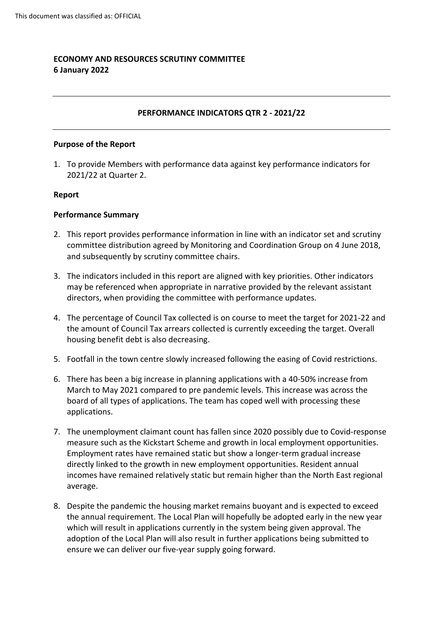# **ECONOMY AND RESOURCES SCRUTINY COMMITTEE 6 January 2022**

### **PERFORMANCE INDICATORS QTR 2 - 2021/22**

#### **Purpose of the Report**

1. To provide Members with performance data against key performance indicators for 2021/22 at Quarter 2.

#### **Report**

#### **Performance Summary**

- 2. This report provides performance information in line with an indicator set and scrutiny committee distribution agreed by Monitoring and Coordination Group on 4 June 2018, and subsequently by scrutiny committee chairs.
- 3. The indicators included in this report are aligned with key priorities. Other indicators may be referenced when appropriate in narrative provided by the relevant assistant directors, when providing the committee with performance updates.
- 4. The percentage of Council Tax collected is on course to meet the target for 2021-22 and the amount of Council Tax arrears collected is currently exceeding the target. Overall housing benefit debt is also decreasing.
- 5. Footfall in the town centre slowly increased following the easing of Covid restrictions.
- 6. There has been a big increase in planning applications with a 40-50% increase from March to May 2021 compared to pre pandemic levels. This increase was across the board of all types of applications. The team has coped well with processing these applications.
- 7. The unemployment claimant count has fallen since 2020 possibly due to Covid-response measure such as the Kickstart Scheme and growth in local employment opportunities. Employment rates have remained static but show a longer-term gradual increase directly linked to the growth in new employment opportunities. Resident annual incomes have remained relatively static but remain higher than the North East regional average.
- 8. Despite the pandemic the housing market remains buoyant and is expected to exceed the annual requirement. The Local Plan will hopefully be adopted early in the new year which will result in applications currently in the system being given approval. The adoption of the Local Plan will also result in further applications being submitted to ensure we can deliver our five-year supply going forward.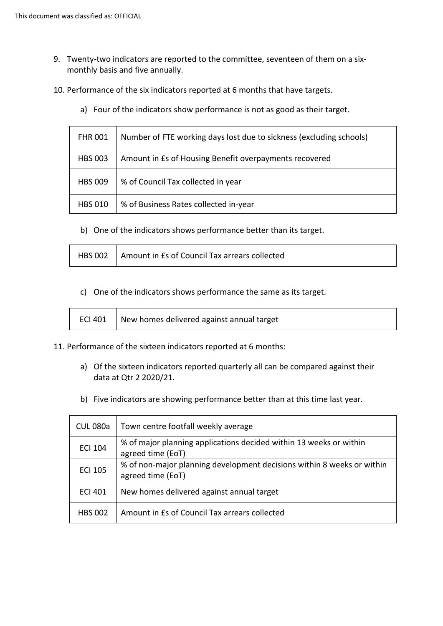- 9. Twenty-two indicators are reported to the committee, seventeen of them on a sixmonthly basis and five annually.
- 10. Performance of the six indicators reported at 6 months that have targets.
	- a) Four of the indicators show performance is not as good as their target.

| <b>FHR 001</b> | Number of FTE working days lost due to sickness (excluding schools) |
|----------------|---------------------------------------------------------------------|
| <b>HBS 003</b> | Amount in Es of Housing Benefit overpayments recovered              |
| <b>HBS 009</b> | % of Council Tax collected in year                                  |
| <b>HBS 010</b> | % of Business Rates collected in-year                               |

b) One of the indicators shows performance better than its target.

| HBS 002 Amount in Es of Council Tax arrears collected |
|-------------------------------------------------------|
|                                                       |

c) One of the indicators shows performance the same as its target.

|  | ECI 401 $\parallel$ New homes delivered against annual target |
|--|---------------------------------------------------------------|
|--|---------------------------------------------------------------|

- 11. Performance of the sixteen indicators reported at 6 months:
	- a) Of the sixteen indicators reported quarterly all can be compared against their data at Qtr 2 2020/21.
	- b) Five indicators are showing performance better than at this time last year.

| <b>CUL 080a</b> | Town centre footfall weekly average                                                         |
|-----------------|---------------------------------------------------------------------------------------------|
| <b>ECI 104</b>  | % of major planning applications decided within 13 weeks or within<br>agreed time (EoT)     |
| <b>ECI 105</b>  | % of non-major planning development decisions within 8 weeks or within<br>agreed time (EoT) |
| <b>ECI 401</b>  | New homes delivered against annual target                                                   |
| <b>HBS 002</b>  | Amount in Es of Council Tax arrears collected                                               |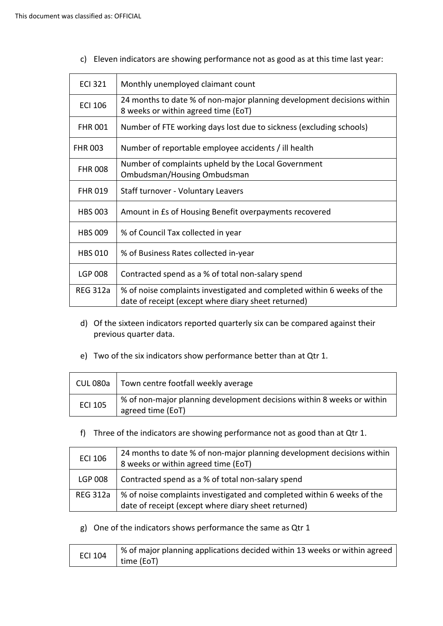c) Eleven indicators are showing performance not as good as at this time last year:

| <b>ECI 321</b>  | Monthly unemployed claimant count                                                                                             |
|-----------------|-------------------------------------------------------------------------------------------------------------------------------|
| <b>ECI 106</b>  | 24 months to date % of non-major planning development decisions within<br>8 weeks or within agreed time (EoT)                 |
| <b>FHR 001</b>  | Number of FTE working days lost due to sickness (excluding schools)                                                           |
| <b>FHR 003</b>  | Number of reportable employee accidents / ill health                                                                          |
| <b>FHR 008</b>  | Number of complaints upheld by the Local Government<br>Ombudsman/Housing Ombudsman                                            |
| <b>FHR 019</b>  | Staff turnover - Voluntary Leavers                                                                                            |
| <b>HBS 003</b>  | Amount in Es of Housing Benefit overpayments recovered                                                                        |
| <b>HBS 009</b>  | % of Council Tax collected in year                                                                                            |
| <b>HBS 010</b>  | % of Business Rates collected in-year                                                                                         |
| <b>LGP 008</b>  | Contracted spend as a % of total non-salary spend                                                                             |
| <b>REG 312a</b> | % of noise complaints investigated and completed within 6 weeks of the<br>date of receipt (except where diary sheet returned) |

- d) Of the sixteen indicators reported quarterly six can be compared against their previous quarter data.
- e) Two of the six indicators show performance better than at Qtr 1.

|                | CUL 080a   Town centre footfall weekly average                                              |
|----------------|---------------------------------------------------------------------------------------------|
| <b>ECI 105</b> | % of non-major planning development decisions within 8 weeks or within<br>agreed time (EoT) |

f) Three of the indicators are showing performance not as good than at Qtr 1.

| <b>ECI 106</b>  | 24 months to date % of non-major planning development decisions within<br>8 weeks or within agreed time (EoT)                 |
|-----------------|-------------------------------------------------------------------------------------------------------------------------------|
| <b>LGP 008</b>  | Contracted spend as a % of total non-salary spend                                                                             |
| <b>REG 312a</b> | % of noise complaints investigated and completed within 6 weeks of the<br>date of receipt (except where diary sheet returned) |

g) One of the indicators shows performance the same as Qtr 1

| <b>ECI 104</b> | │ % of major planning applications decided within 13 weeks or within agreed |
|----------------|-----------------------------------------------------------------------------|
|                | time (EoT)                                                                  |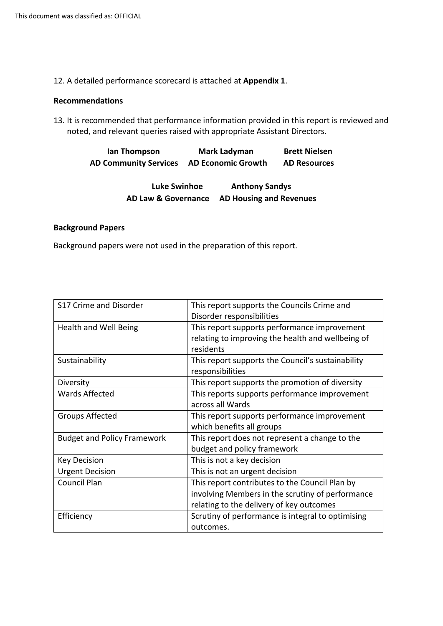12. A detailed performance scorecard is attached at **Appendix 1**.

#### **Recommendations**

13. It is recommended that performance information provided in this report is reviewed and noted, and relevant queries raised with appropriate Assistant Directors.

> **Ian Thompson Mark Ladyman Brett Nielsen AD Community Services AD Economic Growth AD Resources**

| <b>Luke Swinhoe</b>            | <b>Anthony Sandys</b>          |
|--------------------------------|--------------------------------|
| <b>AD Law &amp; Governance</b> | <b>AD Housing and Revenues</b> |

#### **Background Papers**

Background papers were not used in the preparation of this report.

| This report supports the Councils Crime and<br>Disorder responsibilities                                                                       |
|------------------------------------------------------------------------------------------------------------------------------------------------|
| This report supports performance improvement<br>relating to improving the health and wellbeing of<br>residents                                 |
| This report supports the Council's sustainability<br>responsibilities                                                                          |
| This report supports the promotion of diversity                                                                                                |
| This reports supports performance improvement<br>across all Wards                                                                              |
| This report supports performance improvement<br>which benefits all groups                                                                      |
| This report does not represent a change to the<br>budget and policy framework                                                                  |
| This is not a key decision                                                                                                                     |
| This is not an urgent decision                                                                                                                 |
| This report contributes to the Council Plan by<br>involving Members in the scrutiny of performance<br>relating to the delivery of key outcomes |
| Scrutiny of performance is integral to optimising<br>outcomes.                                                                                 |
|                                                                                                                                                |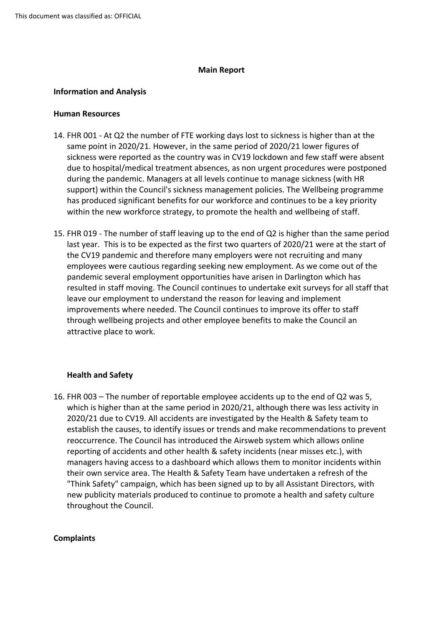## **Main Report**

## **Information and Analysis**

### **Human Resources**

- 14. FHR 001 At Q2 the number of FTE working days lost to sickness is higher than at the same point in 2020/21. However, in the same period of 2020/21 lower figures of sickness were reported as the country was in CV19 lockdown and few staff were absent due to hospital/medical treatment absences, as non urgent procedures were postponed during the pandemic. Managers at all levels continue to manage sickness (with HR support) within the Council's sickness management policies. The Wellbeing programme has produced significant benefits for our workforce and continues to be a key priority within the new workforce strategy, to promote the health and wellbeing of staff.
- 15. FHR 019 The number of staff leaving up to the end of Q2 is higher than the same period last year. This is to be expected as the first two quarters of 2020/21 were at the start of the CV19 pandemic and therefore many employers were not recruiting and many employees were cautious regarding seeking new employment. As we come out of the pandemic several employment opportunities have arisen in Darlington which has resulted in staff moving. The Council continues to undertake exit surveys for all staff that leave our employment to understand the reason for leaving and implement improvements where needed. The Council continues to improve its offer to staff through wellbeing projects and other employee benefits to make the Council an attractive place to work.

# **Health and Safety**

16. FHR 003 – The number of reportable employee accidents up to the end of Q2 was 5, which is higher than at the same period in 2020/21, although there was less activity in 2020/21 due to CV19. All accidents are investigated by the Health & Safety team to establish the causes, to identify issues or trends and make recommendations to prevent reoccurrence. The Council has introduced the Airsweb system which allows online reporting of accidents and other health & safety incidents (near misses etc.), with managers having access to a dashboard which allows them to monitor incidents within their own service area. The Health & Safety Team have undertaken a refresh of the "Think Safety" campaign, which has been signed up to by all Assistant Directors, with new publicity materials produced to continue to promote a health and safety culture throughout the Council.

### **Complaints**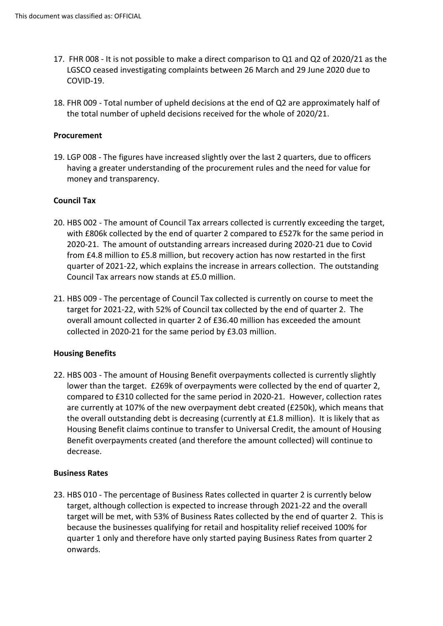- 17. FHR 008 It is not possible to make a direct comparison to Q1 and Q2 of 2020/21 as the LGSCO ceased investigating complaints between 26 March and 29 June 2020 due to COVID-19.
- 18. FHR 009 Total number of upheld decisions at the end of Q2 are approximately half of the total number of upheld decisions received for the whole of 2020/21.

## **Procurement**

19. LGP 008 - The figures have increased slightly over the last 2 quarters, due to officers having a greater understanding of the procurement rules and the need for value for money and transparency.

## **Council Tax**

- 20. HBS 002 The amount of Council Tax arrears collected is currently exceeding the target, with £806k collected by the end of quarter 2 compared to £527k for the same period in 2020-21. The amount of outstanding arrears increased during 2020-21 due to Covid from £4.8 million to £5.8 million, but recovery action has now restarted in the first quarter of 2021-22, which explains the increase in arrears collection. The outstanding Council Tax arrears now stands at £5.0 million.
- 21. HBS 009 The percentage of Council Tax collected is currently on course to meet the target for 2021-22, with 52% of Council tax collected by the end of quarter 2. The overall amount collected in quarter 2 of £36.40 million has exceeded the amount collected in 2020-21 for the same period by £3.03 million.

### **Housing Benefits**

22. HBS 003 - The amount of Housing Benefit overpayments collected is currently slightly lower than the target. £269k of overpayments were collected by the end of quarter 2, compared to £310 collected for the same period in 2020-21. However, collection rates are currently at 107% of the new overpayment debt created (£250k), which means that the overall outstanding debt is decreasing (currently at £1.8 million). It is likely that as Housing Benefit claims continue to transfer to Universal Credit, the amount of Housing Benefit overpayments created (and therefore the amount collected) will continue to decrease.

### **Business Rates**

23. HBS 010 - The percentage of Business Rates collected in quarter 2 is currently below target, although collection is expected to increase through 2021-22 and the overall target will be met, with 53% of Business Rates collected by the end of quarter 2. This is because the businesses qualifying for retail and hospitality relief received 100% for quarter 1 only and therefore have only started paying Business Rates from quarter 2 onwards.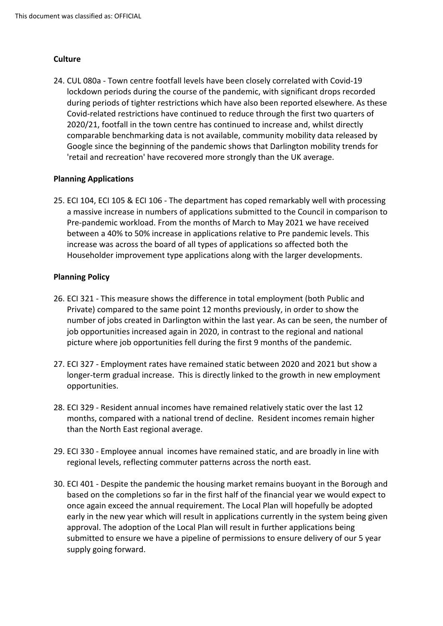# **Culture**

24. CUL 080a - Town centre footfall levels have been closely correlated with Covid-19 lockdown periods during the course of the pandemic, with significant drops recorded during periods of tighter restrictions which have also been reported elsewhere. As these Covid-related restrictions have continued to reduce through the first two quarters of 2020/21, footfall in the town centre has continued to increase and, whilst directly comparable benchmarking data is not available, community mobility data released by Google since the beginning of the pandemic shows that Darlington mobility trends for 'retail and recreation' have recovered more strongly than the UK average.

# **Planning Applications**

25. ECI 104, ECI 105 & ECI 106 - The department has coped remarkably well with processing a massive increase in numbers of applications submitted to the Council in comparison to Pre-pandemic workload. From the months of March to May 2021 we have received between a 40% to 50% increase in applications relative to Pre pandemic levels. This increase was across the board of all types of applications so affected both the Householder improvement type applications along with the larger developments.

# **Planning Policy**

- 26. ECI 321 This measure shows the difference in total employment (both Public and Private) compared to the same point 12 months previously, in order to show the number of jobs created in Darlington within the last year. As can be seen, the number of job opportunities increased again in 2020, in contrast to the regional and national picture where job opportunities fell during the first 9 months of the pandemic.
- 27. ECI 327 Employment rates have remained static between 2020 and 2021 but show a longer-term gradual increase. This is directly linked to the growth in new employment opportunities.
- 28. ECI 329 Resident annual incomes have remained relatively static over the last 12 months, compared with a national trend of decline. Resident incomes remain higher than the North East regional average.
- 29. ECI 330 Employee annual incomes have remained static, and are broadly in line with regional levels, reflecting commuter patterns across the north east.
- 30. ECI 401 Despite the pandemic the housing market remains buoyant in the Borough and based on the completions so far in the first half of the financial year we would expect to once again exceed the annual requirement. The Local Plan will hopefully be adopted early in the new year which will result in applications currently in the system being given approval. The adoption of the Local Plan will result in further applications being submitted to ensure we have a pipeline of permissions to ensure delivery of our 5 year supply going forward.